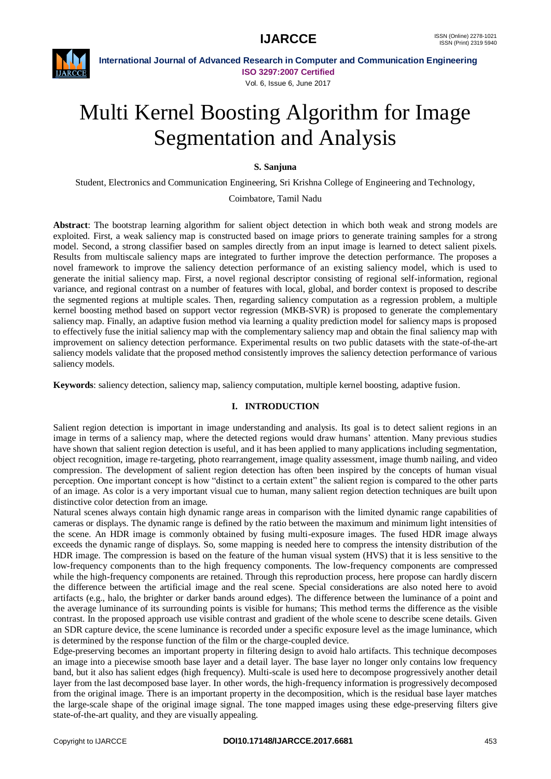

# Multi Kernel Boosting Algorithm for Image Segmentation and Analysis

### **S. Sanjuna**

Student, Electronics and Communication Engineering, Sri Krishna College of Engineering and Technology,

#### Coimbatore, Tamil Nadu

**Abstract**: The bootstrap learning algorithm for salient object detection in which both weak and strong models are exploited. First, a weak saliency map is constructed based on image priors to generate training samples for a strong model. Second, a strong classifier based on samples directly from an input image is learned to detect salient pixels. Results from multiscale saliency maps are integrated to further improve the detection performance. The proposes a novel framework to improve the saliency detection performance of an existing saliency model, which is used to generate the initial saliency map. First, a novel regional descriptor consisting of regional self-information, regional variance, and regional contrast on a number of features with local, global, and border context is proposed to describe the segmented regions at multiple scales. Then, regarding saliency computation as a regression problem, a multiple kernel boosting method based on support vector regression (MKB-SVR) is proposed to generate the complementary saliency map. Finally, an adaptive fusion method via learning a quality prediction model for saliency maps is proposed to effectively fuse the initial saliency map with the complementary saliency map and obtain the final saliency map with improvement on saliency detection performance. Experimental results on two public datasets with the state-of-the-art saliency models validate that the proposed method consistently improves the saliency detection performance of various saliency models.

**Keywords**: saliency detection, saliency map, saliency computation, multiple kernel boosting, adaptive fusion.

#### **I. INTRODUCTION**

Salient region detection is important in image understanding and analysis. Its goal is to detect salient regions in an image in terms of a saliency map, where the detected regions would draw humans' attention. Many previous studies have shown that salient region detection is useful, and it has been applied to many applications including segmentation, object recognition, image re-targeting, photo rearrangement, image quality assessment, image thumb nailing, and video compression. The development of salient region detection has often been inspired by the concepts of human visual perception. One important concept is how "distinct to a certain extent" the salient region is compared to the other parts of an image. As color is a very important visual cue to human, many salient region detection techniques are built upon distinctive color detection from an image.

Natural scenes always contain high dynamic range areas in comparison with the limited dynamic range capabilities of cameras or displays. The dynamic range is defined by the ratio between the maximum and minimum light intensities of the scene. An HDR image is commonly obtained by fusing multi-exposure images. The fused HDR image always exceeds the dynamic range of displays. So, some mapping is needed here to compress the intensity distribution of the HDR image. The compression is based on the feature of the human visual system (HVS) that it is less sensitive to the low-frequency components than to the high frequency components. The low-frequency components are compressed while the high-frequency components are retained. Through this reproduction process, here propose can hardly discern the difference between the artificial image and the real scene. Special considerations are also noted here to avoid artifacts (e.g., halo, the brighter or darker bands around edges). The difference between the luminance of a point and the average luminance of its surrounding points is visible for humans; This method terms the difference as the visible contrast. In the proposed approach use visible contrast and gradient of the whole scene to describe scene details. Given an SDR capture device, the scene luminance is recorded under a specific exposure level as the image luminance, which is determined by the response function of the film or the charge-coupled device.

Edge-preserving becomes an important property in filtering design to avoid halo artifacts. This technique decomposes an image into a piecewise smooth base layer and a detail layer. The base layer no longer only contains low frequency band, but it also has salient edges (high frequency). Multi-scale is used here to decompose progressively another detail layer from the last decomposed base layer. In other words, the high-frequency information is progressively decomposed from the original image. There is an important property in the decomposition, which is the residual base layer matches the large-scale shape of the original image signal. The tone mapped images using these edge-preserving filters give state-of-the-art quality, and they are visually appealing.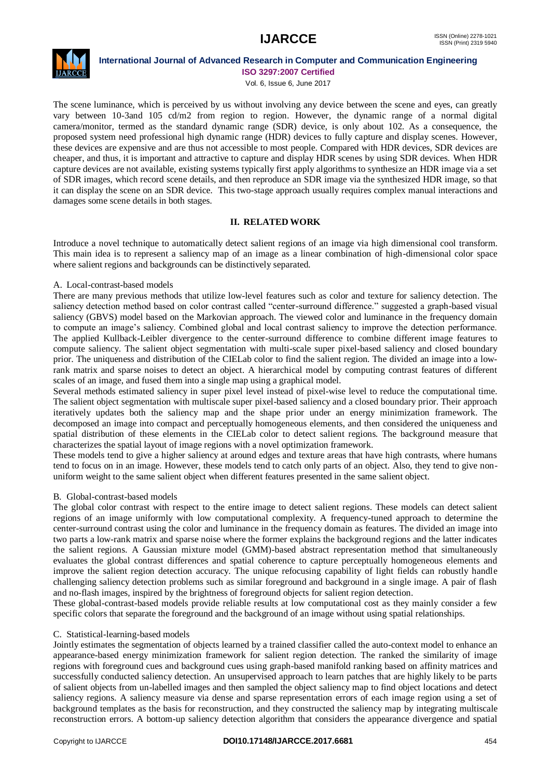

Vol. 6, Issue 6, June 2017

The scene luminance, which is perceived by us without involving any device between the scene and eyes, can greatly vary between 10-3and 105 cd/m2 from region to region. However, the dynamic range of a normal digital camera/monitor, termed as the standard dynamic range (SDR) device, is only about 102. As a consequence, the proposed system need professional high dynamic range (HDR) devices to fully capture and display scenes. However, these devices are expensive and are thus not accessible to most people. Compared with HDR devices, SDR devices are cheaper, and thus, it is important and attractive to capture and display HDR scenes by using SDR devices. When HDR capture devices are not available, existing systems typically first apply algorithms to synthesize an HDR image via a set of SDR images, which record scene details, and then reproduce an SDR image via the synthesized HDR image, so that it can display the scene on an SDR device. This two-stage approach usually requires complex manual interactions and damages some scene details in both stages.

#### **II. RELATED WORK**

Introduce a novel technique to automatically detect salient regions of an image via high dimensional cool transform. This main idea is to represent a saliency map of an image as a linear combination of high-dimensional color space where salient regions and backgrounds can be distinctively separated.

#### A. Local-contrast-based models

There are many previous methods that utilize low-level features such as color and texture for saliency detection. The saliency detection method based on color contrast called "center-surround difference." suggested a graph-based visual saliency (GBVS) model based on the Markovian approach. The viewed color and luminance in the frequency domain to compute an image's saliency. Combined global and local contrast saliency to improve the detection performance. The applied Kullback-Leibler divergence to the center-surround difference to combine different image features to compute saliency. The salient object segmentation with multi-scale super pixel-based saliency and closed boundary prior. The uniqueness and distribution of the CIELab color to find the salient region. The divided an image into a lowrank matrix and sparse noises to detect an object. A hierarchical model by computing contrast features of different scales of an image, and fused them into a single map using a graphical model.

Several methods estimated saliency in super pixel level instead of pixel-wise level to reduce the computational time. The salient object segmentation with multiscale super pixel-based saliency and a closed boundary prior. Their approach iteratively updates both the saliency map and the shape prior under an energy minimization framework. The decomposed an image into compact and perceptually homogeneous elements, and then considered the uniqueness and spatial distribution of these elements in the CIELab color to detect salient regions. The background measure that characterizes the spatial layout of image regions with a novel optimization framework.

These models tend to give a higher saliency at around edges and texture areas that have high contrasts, where humans tend to focus on in an image. However, these models tend to catch only parts of an object. Also, they tend to give nonuniform weight to the same salient object when different features presented in the same salient object.

### B. Global-contrast-based models

The global color contrast with respect to the entire image to detect salient regions. These models can detect salient regions of an image uniformly with low computational complexity. A frequency-tuned approach to determine the center-surround contrast using the color and luminance in the frequency domain as features. The divided an image into two parts a low-rank matrix and sparse noise where the former explains the background regions and the latter indicates the salient regions. A Gaussian mixture model (GMM)-based abstract representation method that simultaneously evaluates the global contrast differences and spatial coherence to capture perceptually homogeneous elements and improve the salient region detection accuracy. The unique refocusing capability of light fields can robustly handle challenging saliency detection problems such as similar foreground and background in a single image. A pair of flash and no-flash images, inspired by the brightness of foreground objects for salient region detection.

These global-contrast-based models provide reliable results at low computational cost as they mainly consider a few specific colors that separate the foreground and the background of an image without using spatial relationships.

### C. Statistical-learning-based models

Jointly estimates the segmentation of objects learned by a trained classifier called the auto-context model to enhance an appearance-based energy minimization framework for salient region detection. The ranked the similarity of image regions with foreground cues and background cues using graph-based manifold ranking based on affinity matrices and successfully conducted saliency detection. An unsupervised approach to learn patches that are highly likely to be parts of salient objects from un-labelled images and then sampled the object saliency map to find object locations and detect saliency regions. A saliency measure via dense and sparse representation errors of each image region using a set of background templates as the basis for reconstruction, and they constructed the saliency map by integrating multiscale reconstruction errors. A bottom-up saliency detection algorithm that considers the appearance divergence and spatial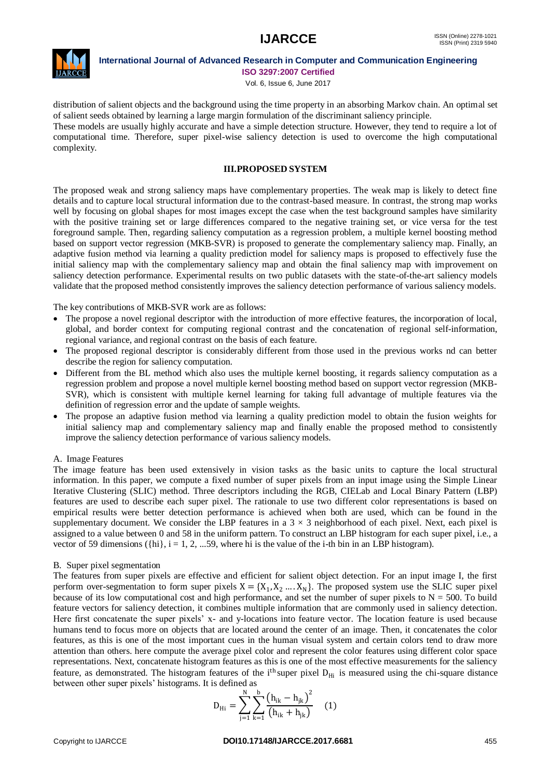

## **International Journal of Advanced Research in Computer and Communication Engineering**

**ISO 3297:2007 Certified**

Vol. 6, Issue 6, June 2017

distribution of salient objects and the background using the time property in an absorbing Markov chain. An optimal set of salient seeds obtained by learning a large margin formulation of the discriminant saliency principle.

These models are usually highly accurate and have a simple detection structure. However, they tend to require a lot of computational time. Therefore, super pixel-wise saliency detection is used to overcome the high computational complexity.

### **III.PROPOSED SYSTEM**

The proposed weak and strong saliency maps have complementary properties. The weak map is likely to detect fine details and to capture local structural information due to the contrast-based measure. In contrast, the strong map works well by focusing on global shapes for most images except the case when the test background samples have similarity with the positive training set or large differences compared to the negative training set, or vice versa for the test foreground sample. Then, regarding saliency computation as a regression problem, a multiple kernel boosting method based on support vector regression (MKB-SVR) is proposed to generate the complementary saliency map. Finally, an adaptive fusion method via learning a quality prediction model for saliency maps is proposed to effectively fuse the initial saliency map with the complementary saliency map and obtain the final saliency map with improvement on saliency detection performance. Experimental results on two public datasets with the state-of-the-art saliency models validate that the proposed method consistently improves the saliency detection performance of various saliency models.

The key contributions of MKB-SVR work are as follows:

- The propose a novel regional descriptor with the introduction of more effective features, the incorporation of local, global, and border context for computing regional contrast and the concatenation of regional self-information, regional variance, and regional contrast on the basis of each feature.
- The proposed regional descriptor is considerably different from those used in the previous works nd can better describe the region for saliency computation.
- Different from the BL method which also uses the multiple kernel boosting, it regards saliency computation as a regression problem and propose a novel multiple kernel boosting method based on support vector regression (MKB-SVR), which is consistent with multiple kernel learning for taking full advantage of multiple features via the definition of regression error and the update of sample weights.
- The propose an adaptive fusion method via learning a quality prediction model to obtain the fusion weights for initial saliency map and complementary saliency map and finally enable the proposed method to consistently improve the saliency detection performance of various saliency models.

#### A. Image Features

The image feature has been used extensively in vision tasks as the basic units to capture the local structural information. In this paper, we compute a fixed number of super pixels from an input image using the Simple Linear Iterative Clustering (SLIC) method. Three descriptors including the RGB, CIELab and Local Binary Pattern (LBP) features are used to describe each super pixel. The rationale to use two different color representations is based on empirical results were better detection performance is achieved when both are used, which can be found in the supplementary document. We consider the LBP features in a  $3 \times 3$  neighborhood of each pixel. Next, each pixel is assigned to a value between 0 and 58 in the uniform pattern. To construct an LBP histogram for each super pixel, i.e., a vector of 59 dimensions ( $\{hi\}$ , i = 1, 2, ...59, where hi is the value of the i-th bin in an LBP histogram).

#### B. Super pixel segmentation

The features from super pixels are effective and efficient for salient object detection. For an input image I, the first perform over-segmentation to form super pixels  $X = \{X_1, X_2, \ldots, X_N\}$ . The proposed system use the SLIC super pixel because of its low computational cost and high performance, and set the number of super pixels to  $N = 500$ . To build feature vectors for saliency detection, it combines multiple information that are commonly used in saliency detection. Here first concatenate the super pixels' x- and y-locations into feature vector. The location feature is used because humans tend to focus more on objects that are located around the center of an image. Then, it concatenates the color features, as this is one of the most important cues in the human visual system and certain colors tend to draw more attention than others. here compute the average pixel color and represent the color features using different color space representations. Next, concatenate histogram features as this is one of the most effective measurements for the saliency feature, as demonstrated. The histogram features of the  $i<sup>th</sup>$  super pixel  $D_{Hi}$  is measured using the chi-square distance between other super pixels' histograms. It is defined as

$$
D_{Hi} = \sum_{j=1}^{N} \sum_{k=1}^{b} \frac{(h_{ik} - h_{jk})^2}{(h_{ik} + h_{jk})}
$$
 (1)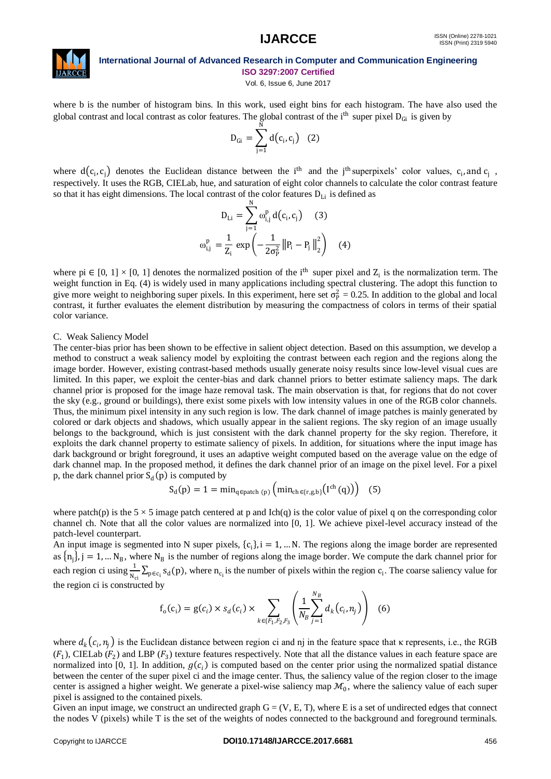

Vol. 6, Issue 6, June 2017

where b is the number of histogram bins. In this work, used eight bins for each histogram. The have also used the global contrast and local contrast as color features. The global contrast of the i<sup>th</sup> super pixel D<sub>Gi</sub> is given by

$$
D_{Gi} = \sum_{j=1}^{N} d(c_i, c_j) \quad (2)
$$

where  $d(c_i, c_j)$  denotes the Euclidean distance between the i<sup>th</sup> and the j<sup>th</sup> superpixels' color values,  $c_i$ , and  $c_j$ , respectively. It uses the RGB, CIELab, hue, and saturation of eight color channels to calculate the color contrast feature so that it has eight dimensions. The local contrast of the color features  $D_{Li}$  is defined as

$$
D_{Li} = \sum_{j=1}^{N} \omega_{i,j}^{p} d(c_{i}, c_{j})
$$
 (3)  

$$
\omega_{i,j}^{p} = \frac{1}{Z_{i}} \exp \left(-\frac{1}{2\sigma_{p}^{2}} ||P_{i} - P_{j}||_{2}^{2}\right)
$$
 (4)

where pi  $\in [0, 1] \times [0, 1]$  denotes the normalized position of the i<sup>th</sup> super pixel and  $Z_i$  is the normalization term. The weight function in Eq. (4) is widely used in many applications including spectral clustering. The adopt this function to give more weight to neighboring super pixels. In this experiment, here set  $\sigma_P^2 = 0.25$ . In addition to the global and local contrast, it further evaluates the element distribution by measuring the compactness of colors in terms of their spatial color variance.

#### C. Weak Saliency Model

The center-bias prior has been shown to be effective in salient object detection. Based on this assumption, we develop a method to construct a weak saliency model by exploiting the contrast between each region and the regions along the image border. However, existing contrast-based methods usually generate noisy results since low-level visual cues are limited. In this paper, we exploit the center-bias and dark channel priors to better estimate saliency maps. The dark channel prior is proposed for the image haze removal task. The main observation is that, for regions that do not cover the sky (e.g., ground or buildings), there exist some pixels with low intensity values in one of the RGB color channels. Thus, the minimum pixel intensity in any such region is low. The dark channel of image patches is mainly generated by colored or dark objects and shadows, which usually appear in the salient regions. The sky region of an image usually belongs to the background, which is just consistent with the dark channel property for the sky region. Therefore, it exploits the dark channel property to estimate saliency of pixels. In addition, for situations where the input image has dark background or bright foreground, it uses an adaptive weight computed based on the average value on the edge of dark channel map. In the proposed method, it defines the dark channel prior of an image on the pixel level. For a pixel p, the dark channel prior  $S_d(p)$  is computed by

$$
S_{d}(p) = 1 = \min_{q \in patch(p)} (min_{ch \in \{r,g,b\}}(I^{ch}(q))) \quad (5)
$$

where patch(p) is the  $5 \times 5$  image patch centered at p and Ich(q) is the color value of pixel q on the corresponding color channel ch. Note that all the color values are normalized into [0, 1]. We achieve pixel-level accuracy instead of the patch-level counterpart.

An input image is segmented into N super pixels,  $\{c_i\}$ ,  $i = 1, ... N$ . The regions along the image border are represented as  $\{n_j\}$ , j = 1, ... N<sub>B</sub>, where N<sub>B</sub> is the number of regions along the image border. We compute the dark channel prior for each region ci using  $\frac{1}{N_{ci}}\sum_{p \in c_i} s_d(p)$ , where  $n_{c_i}$  is the number of pixels within the region  $c_i$ . The coarse saliency value for the region ci is constructed by

$$
f_o(c_i) = g(c_i) \times s_d(c_i) \times \sum_{k \in \{F_1, F_2, F_3\}} \left( \frac{1}{N_B} \sum_{j=1}^{N_B} d_k(c_i, n_j) \right) \tag{6}
$$

where  $d_k(c_i, n_j)$  is the Euclidean distance between region ci and nj in the feature space that  $\kappa$  represents, i.e., the RGB  $(F_1)$ , CIELab  $(F_2)$  and LBP  $(F_3)$  texture features respectively. Note that all the distance values in each feature space are normalized into [0, 1]. In addition,  $g(c_i)$  is computed based on the center prior using the normalized spatial distance between the center of the super pixel ci and the image center. Thus, the saliency value of the region closer to the image center is assigned a higher weight. We generate a pixel-wise saliency map  $\mathcal{M}_0$ , where the saliency value of each super pixel is assigned to the contained pixels.

Given an input image, we construct an undirected graph  $G = (V, E, T)$ , where E is a set of undirected edges that connect the nodes V (pixels) while T is the set of the weights of nodes connected to the background and foreground terminals.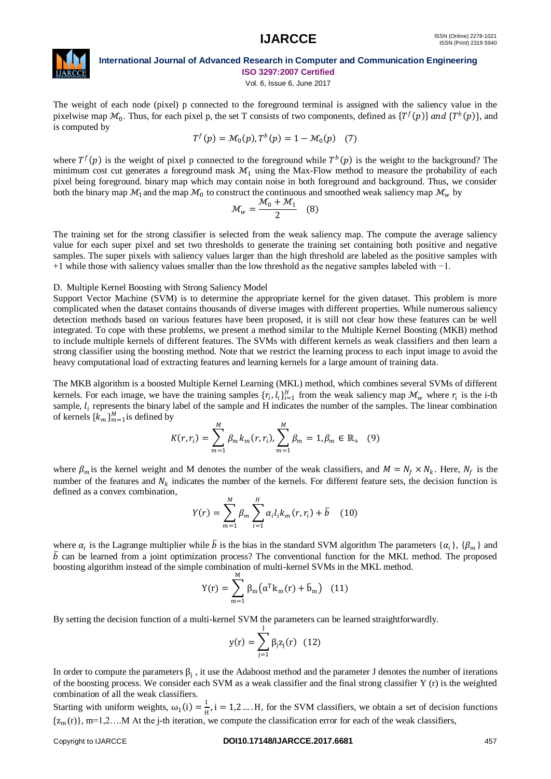

Vol. 6, Issue 6, June 2017

The weight of each node (pixel) p connected to the foreground terminal is assigned with the saliency value in the pixelwise map  $M_0$ . Thus, for each pixel p, the set T consists of two components, defined as  $\{T^f(p)\}\$ and  $\{T^b(p)\}$ , and is computed by

$$
T^{f}(p) = \mathcal{M}_{0}(p), T^{b}(p) = 1 - \mathcal{M}_{0}(p) \quad (7)
$$

where  $T^f(p)$  is the weight of pixel p connected to the foreground while  $T^b(p)$  is the weight to the background? The minimum cost cut generates a foreground mask  $\mathcal{M}_1$  using the Max-Flow method to measure the probability of each pixel being foreground. binary map which may contain noise in both foreground and background. Thus, we consider both the binary map  $\mathcal{M}_1$  and the map  $\mathcal{M}_0$  to construct the continuous and smoothed weak saliency map  $\mathcal{M}_w$  by

$$
\mathcal{M}_w = \frac{\mathcal{M}_0 + \mathcal{M}_1}{2} \quad (8)
$$

The training set for the strong classifier is selected from the weak saliency map. The compute the average saliency value for each super pixel and set two thresholds to generate the training set containing both positive and negative samples. The super pixels with saliency values larger than the high threshold are labeled as the positive samples with +1 while those with saliency values smaller than the low threshold as the negative samples labeled with −1.

#### D. Multiple Kernel Boosting with Strong Saliency Model

Support Vector Machine (SVM) is to determine the appropriate kernel for the given dataset. This problem is more complicated when the dataset contains thousands of diverse images with different properties. While numerous saliency detection methods based on various features have been proposed, it is still not clear how these features can be well integrated. To cope with these problems, we present a method similar to the Multiple Kernel Boosting (MKB) method to include multiple kernels of different features. The SVMs with different kernels as weak classifiers and then learn a strong classifier using the boosting method. Note that we restrict the learning process to each input image to avoid the heavy computational load of extracting features and learning kernels for a large amount of training data.

The MKB algorithm is a boosted Multiple Kernel Learning (MKL) method, which combines several SVMs of different kernels. For each image, we have the training samples  $\{r_i, l_i\}_{i=1}^H$  from the weak saliency map  $\mathcal{M}_w$  where  $r_i$  is the i-th sample,  $l_i$  represents the binary label of the sample and H indicates the number of the samples. The linear combination of kernels  $\{k_m\}_{m=1}^M$  is defined by

$$
K(r,r_i) = \sum_{m=1}^{M} \beta_m k_m(r,r_i), \sum_{m=1}^{M} \beta_m = 1, \beta_m \in \mathbb{R}_+ \quad (9)
$$

where  $\beta_m$  is the kernel weight and M denotes the number of the weak classifiers, and  $M = N_f \times N_k$ . Here,  $N_f$  is the number of the features and  $N_k$  indicates the number of the kernels. For different feature sets, the decision function is defined as a convex combination,

$$
Y(r) = \sum_{m=1}^{M} \beta_m \sum_{i=1}^{H} \alpha_i l_i k_m(r, r_i) + \bar{b} \quad (10)
$$

where  $\alpha_i$  is the Lagrange multiplier while  $\bar{b}$  is the bias in the standard SVM algorithm The parameters  $\{\alpha_i\}$ ,  $\{\beta_m\}$  and  $\overline{b}$  can be learned from a joint optimization process? The conventional function for the MKL method. The proposed boosting algorithm instead of the simple combination of multi-kernel SVMs in the MKL method. M

$$
Y(r) = \sum_{m=1}^{M} \beta_m (\alpha^{\mathrm{T}} k_m(r) + \overline{b}_m)
$$
 (11)

By setting the decision function of a multi-kernel SVM the parameters can be learned straightforwardly.

$$
y(r) = \sum_{j=1}^{J} \beta_j z_j(r) \quad (12)
$$

In order to compute the parameters  $\beta_j$ , it use the Adaboost method and the parameter J denotes the number of iterations of the boosting process. We consider each SVM as a weak classifier and the final strong classifier  $Y(r)$  is the weighted combination of all the weak classifiers.

Starting with uniform weights,  $\omega_1(i) = \frac{1}{n}$  $\frac{1}{H}$ , i = 1,2 ... H, for the SVM classifiers, we obtain a set of decision functions  ${z_m(r)}$ , m=1,2... M At the j-th iteration, we compute the classification error for each of the weak classifiers,

#### Copyright to IJARCCE **DOI10.17148/IJARCCE.2017.6681** <sup>457</sup>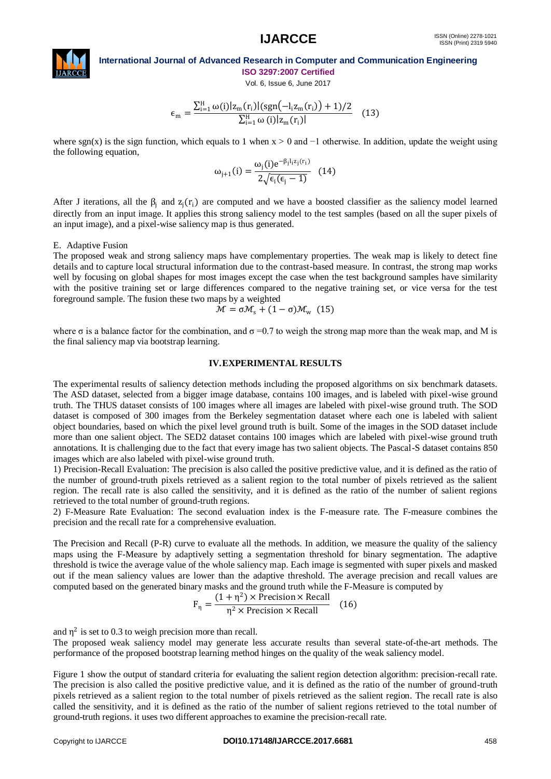

Vol. 6, Issue 6, June 2017

$$
\epsilon_{\rm m} = \frac{\sum_{i=1}^{H} \omega(i) |z_{\rm m}(r_i)| (\text{sgn}(-l_i z_{\rm m}(r_i)) + 1)/2}{\sum_{i=1}^{H} \omega(i) |z_{\rm m}(r_i)|} \quad (13)
$$

where sgn(x) is the sign function, which equals to 1 when  $x > 0$  and  $-1$  otherwise. In addition, update the weight using the following equation,

$$
\omega_{j+1}(i) = \frac{\omega_j(i)e^{-\beta_j l_1 z_j(r_i)}}{2\sqrt{\epsilon_i(\epsilon_j - 1)}} \quad (14)
$$

After J iterations, all the  $\beta_j$  and  $z_j(r_i)$  are computed and we have a boosted classifier as the saliency model learned directly from an input image. It applies this strong saliency model to the test samples (based on all the super pixels of an input image), and a pixel-wise saliency map is thus generated.

#### E. Adaptive Fusion

The proposed weak and strong saliency maps have complementary properties. The weak map is likely to detect fine details and to capture local structural information due to the contrast-based measure. In contrast, the strong map works well by focusing on global shapes for most images except the case when the test background samples have similarity with the positive training set or large differences compared to the negative training set, or vice versa for the test foreground sample. The fusion these two maps by a weighted

$$
\mathcal{M} = \sigma \mathcal{M}_s + (1 - \sigma) \mathcal{M}_w
$$
 (15)

where  $\sigma$  is a balance factor for the combination, and  $\sigma = 0.7$  to weigh the strong map more than the weak map, and M is the final saliency map via bootstrap learning.

#### **IV.EXPERIMENTAL RESULTS**

The experimental results of saliency detection methods including the proposed algorithms on six benchmark datasets. The ASD dataset, selected from a bigger image database, contains 100 images, and is labeled with pixel-wise ground truth. The THUS dataset consists of 100 images where all images are labeled with pixel-wise ground truth. The SOD dataset is composed of 300 images from the Berkeley segmentation dataset where each one is labeled with salient object boundaries, based on which the pixel level ground truth is built. Some of the images in the SOD dataset include more than one salient object. The SED2 dataset contains 100 images which are labeled with pixel-wise ground truth annotations. It is challenging due to the fact that every image has two salient objects. The Pascal-S dataset contains 850 images which are also labeled with pixel-wise ground truth.

1) Precision-Recall Evaluation: The precision is also called the positive predictive value, and it is defined as the ratio of the number of ground-truth pixels retrieved as a salient region to the total number of pixels retrieved as the salient region. The recall rate is also called the sensitivity, and it is defined as the ratio of the number of salient regions retrieved to the total number of ground-truth regions.

2) F-Measure Rate Evaluation: The second evaluation index is the F-measure rate. The F-measure combines the precision and the recall rate for a comprehensive evaluation.

The Precision and Recall (P-R) curve to evaluate all the methods. In addition, we measure the quality of the saliency maps using the F-Measure by adaptively setting a segmentation threshold for binary segmentation. The adaptive threshold is twice the average value of the whole saliency map. Each image is segmented with super pixels and masked out if the mean saliency values are lower than the adaptive threshold. The average precision and recall values are computed based on the generated binary masks and the ground truth while the F-Measure is computed by

$$
F_{\eta} = \frac{(1 + \eta^2) \times \text{Precision} \times \text{Recall}}{\eta^2 \times \text{Precision} \times \text{Recall}} \quad (16)
$$

and  $\eta^2$  is set to 0.3 to weigh precision more than recall.

The proposed weak saliency model may generate less accurate results than several state-of-the-art methods. The performance of the proposed bootstrap learning method hinges on the quality of the weak saliency model.

Figure 1 show the output of standard criteria for evaluating the salient region detection algorithm: precision-recall rate. The precision is also called the positive predictive value, and it is defined as the ratio of the number of ground-truth pixels retrieved as a salient region to the total number of pixels retrieved as the salient region. The recall rate is also called the sensitivity, and it is defined as the ratio of the number of salient regions retrieved to the total number of ground-truth regions. it uses two different approaches to examine the precision-recall rate.